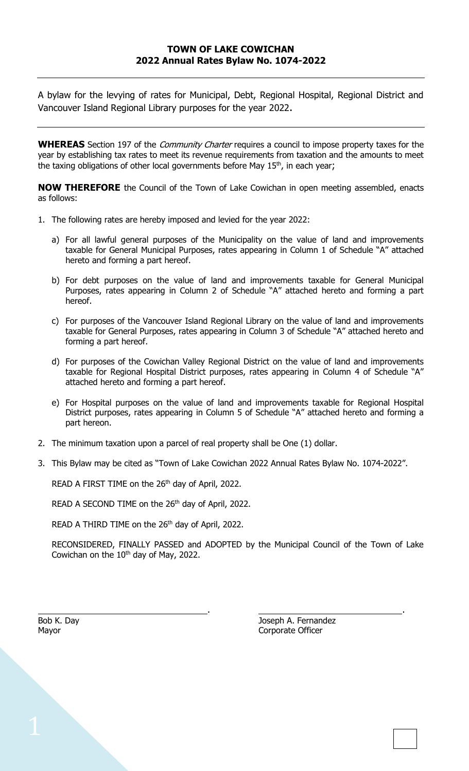A bylaw for the levying of rates for Municipal, Debt, Regional Hospital, Regional District and Vancouver Island Regional Library purposes for the year 2022.

WHEREAS Section 197 of the *Community Charter* requires a council to impose property taxes for the year by establishing tax rates to meet its revenue requirements from taxation and the amounts to meet the taxing obligations of other local governments before May 15<sup>th</sup>, in each year;

**NOW THEREFORE** the Council of the Town of Lake Cowichan in open meeting assembled, enacts as follows:

- 1. The following rates are hereby imposed and levied for the year 2022:
	- a) For all lawful general purposes of the Municipality on the value of land and improvements taxable for General Municipal Purposes, rates appearing in Column 1 of Schedule "A" attached hereto and forming a part hereof.
	- b) For debt purposes on the value of land and improvements taxable for General Municipal Purposes, rates appearing in Column 2 of Schedule "A" attached hereto and forming a part hereof.
	- c) For purposes of the Vancouver Island Regional Library on the value of land and improvements taxable for General Purposes, rates appearing in Column 3 of Schedule "A" attached hereto and forming a part hereof.
	- d) For purposes of the Cowichan Valley Regional District on the value of land and improvements taxable for Regional Hospital District purposes, rates appearing in Column 4 of Schedule "A" attached hereto and forming a part hereof.
	- e) For Hospital purposes on the value of land and improvements taxable for Regional Hospital District purposes, rates appearing in Column 5 of Schedule "A" attached hereto and forming a part hereon.
- 2. The minimum taxation upon a parcel of real property shall be One (1) dollar.
- 3. This Bylaw may be cited as "Town of Lake Cowichan 2022 Annual Rates Bylaw No. 1074-2022".

READ A FIRST TIME on the 26<sup>th</sup> day of April, 2022.

READ A SECOND TIME on the 26<sup>th</sup> day of April, 2022.

READ A THIRD TIME on the  $26<sup>th</sup>$  day of April, 2022.

RECONSIDERED, FINALLY PASSED and ADOPTED by the Municipal Council of the Town of Lake Cowichan on the  $10<sup>th</sup>$  day of May, 2022.

. .

Bob K. Day **Bob K. Day** Joseph A. Fernandez Mayor **Component Component Component Component Component Component Component Component Component Component Component Component Component Component Component Component Component Component Component Component Component Compo**